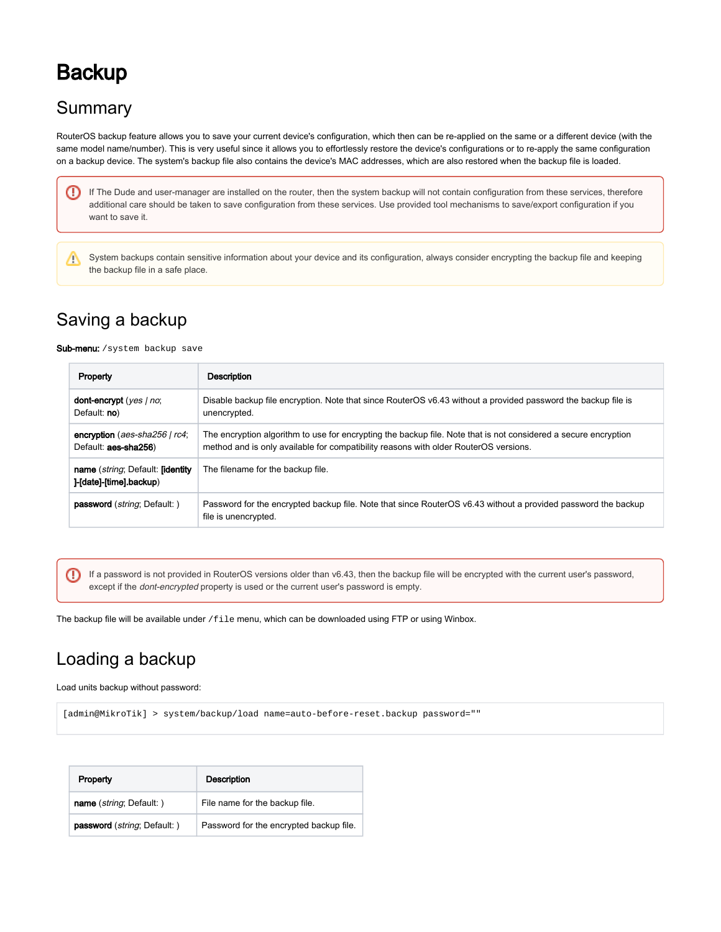# **Backup**

# **Summary**

Λ

⋒

RouterOS backup feature allows you to save your current device's configuration, which then can be re-applied on the same or a different device (with the same model name/number). This is very useful since it allows you to effortlessly restore the device's configurations or to re-apply the same configuration on a backup device. The system's backup file also contains the device's MAC addresses, which are also restored when the backup file is loaded.

⊕ If The Dude and user-manager are installed on the router, then the system backup will not contain configuration from these services, therefore additional care should be taken to save configuration from these services. Use provided tool mechanisms to save/export configuration if you want to save it.

System backups contain sensitive information about your device and its configuration, always consider encrypting the backup file and keeping the backup file in a safe place.

# Saving a backup

Sub-menu: / system backup save

| Property                                                    | <b>Description</b>                                                                                                                                                                                      |  |
|-------------------------------------------------------------|---------------------------------------------------------------------------------------------------------------------------------------------------------------------------------------------------------|--|
| dont-encrypt (yes   no;<br>Default: no)                     | Disable backup file encryption. Note that since RouterOS v6.43 without a provided password the backup file is<br>unencrypted.                                                                           |  |
| encryption (aes-sha256   rc4;<br>Default: aes-sha256)       | The encryption algorithm to use for encrypting the backup file. Note that is not considered a secure encryption<br>method and is only available for compatibility reasons with older RouterOS versions. |  |
| name (string: Default: lidentity<br>]-[date]-[time].backup) | The filename for the backup file.                                                                                                                                                                       |  |
| password (string; Default:)                                 | Password for the encrypted backup file. Note that since RouterOS v6.43 without a provided password the backup<br>file is unencrypted.                                                                   |  |

If a password is not provided in RouterOS versions older than v6.43, then the backup file will be encrypted with the current user's password, except if the dont-encrypted property is used or the current user's password is empty.

The backup file will be available under /file menu, which can be downloaded using FTP or using Winbox.

# Loading a backup

Load units backup without password:

[admin@MikroTik] > system/backup/load name=auto-before-reset.backup password=""

| Property                              | <b>Description</b>                      |
|---------------------------------------|-----------------------------------------|
| name ( <i>string</i> ; Default: )     | File name for the backup file.          |
| password ( <i>string</i> ; Default: ) | Password for the encrypted backup file. |